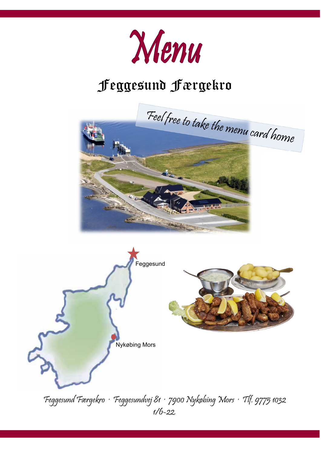

# Feggesund Færgekro





Feggesund Færgekro · Feggesundvej 81 · 7900 Nykøbing Mors · Tlf. 9775 1032 1/6-22.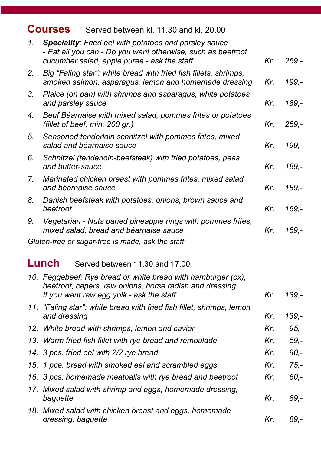#### **Courses** Served between kl. 11.30 and kl. 20.00

| 1. | <b>Speciality:</b> Fried eel with potatoes and parsley sauce<br>- Eat all you can - Do you want otherwise, such as beetroot<br>cucumber salad, apple puree - ask the staff | Kr. | 259,-    |
|----|----------------------------------------------------------------------------------------------------------------------------------------------------------------------------|-----|----------|
| 2. | Big "Faling star": white bread with fried fish fillets, shrimps,<br>smoked salmon, asparagus, lemon and homemade dressing                                                  | Kr. | 199,-    |
| 3. | Plaice (on pan) with shrimps and asparagus, white potatoes<br>and parsley sauce                                                                                            | Kr. | 189,-    |
| 4. | Beuf Béarnaise with mixed salad, pommes frites or potatoes<br>(fillet of beef, min. 200 gr.)                                                                               | Kr. | $259,-$  |
| 5. | Seasoned tenderloin schnitzel with pommes frites, mixed<br>salad and béarnaise sauce                                                                                       | Kr. | 199,-    |
| 6. | Schnitzel (tenderloin-beefsteak) with fried potatoes, peas<br>and butter-sauce                                                                                             | Kr. | 189,-    |
| 7. | Marinated chicken breast with pommes frites, mixed salad<br>and béarnaise sauce                                                                                            | Kr. | $189. -$ |
| 8. | Danish beefsteak with potatoes, onions, brown sauce and<br>beetroot                                                                                                        | Kr. | 169,-    |
| 9. | Vegetarian - Nuts paned pineapple rings with pommes frites,<br>mixed salad, bread and béarnaise sauce                                                                      | Kr. | $159,-$  |
|    | Gluten-free or sugar-free is made, ask the staff                                                                                                                           |     |          |
|    | Lunch<br>Served between 11.30 and 17.00                                                                                                                                    |     |          |
|    | 10. Feggebeef: Rye bread or white bread with hamburger (ox),<br>beetroot, capers, raw onions, horse radish and dressing.<br>If you want raw egg yolk - ask the staff       | Kr. | 139,-    |
|    | 11. "Faling star": white bread with fried fish fillet, shrimps, lemon                                                                                                      |     |          |
|    | and dressing                                                                                                                                                               | Kr. | 139,-    |
|    | 12. White bread with shrimps, lemon and caviar                                                                                                                             | Kr. | $95 -$   |
|    | 13. Warm fried fish fillet with rye bread and remoulade                                                                                                                    | Kr. | $59,-$   |
|    | 14. 3 pcs. fried eel with 2/2 rye bread                                                                                                                                    | Kr. | $90,-$   |
|    | 15. 1 pce. bread with smoked eel and scrambled eggs                                                                                                                        | Kr. | $75,-$   |
|    | 16. 3 pcs. homemade meatballs with rye bread and beetroot                                                                                                                  | Kr. | $60,-$   |
|    | 17. Mixed salad with shrimp and eggs, homemade dressing,<br>baguette                                                                                                       | Kr. | 89,-     |
|    | 18. Mixed salad with chicken breast and eggs, homemade<br>dressing, baguette                                                                                               | Kr. | 89,-     |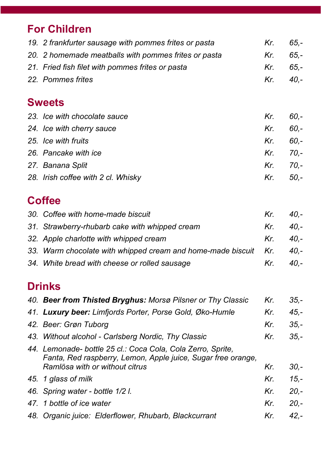# **For Children**

| 19. 2 frankfurter sausage with pommes frites or pasta | Kr. | $65 -$ |
|-------------------------------------------------------|-----|--------|
| 20. 2 homemade meatballs with pommes frites or pasta  | Kr. | $65 -$ |
| 21. Fried fish filet with pommes frites or pasta      | Kr. | $65 -$ |
| 22. Pommes frites                                     | Kr. | $40 -$ |
|                                                       |     |        |
| <b>Sweets</b>                                         |     |        |
| 23. Ice with chocolate sauce                          | Kr. | $60 -$ |
| 24. Ice with cherry sauce                             | Kr. | $60 -$ |
| 25. Ice with fruits                                   | Kr. | $60 -$ |
| 26. Pancake with ice                                  | Kr. | $70,-$ |
| 27. Banana Split                                      | Kr. | $70 -$ |
| 28. Irish coffee with 2 cl. Whisky                    | Kr. | $50 -$ |

# **Coffee**

| 30. Coffee with home-made biscuit                               | $Kr_{\cdot}$ | $-40. -$ |
|-----------------------------------------------------------------|--------------|----------|
| 31. Strawberry-rhubarb cake with whipped cream                  | Kr.          | $40. -$  |
| 32. Apple charlotte with whipped cream                          | Kr.          | - 40.-   |
| 33. Warm chocolate with whipped cream and home-made biscuit Kr. |              | $40. -$  |
| 34. White bread with cheese or rolled sausage                   | Kr.          | $40 -$   |

### **Drinks**

| 40. Beer from Thisted Bryghus: Morsø Pilsner or Thy Classic                                                                                                   | Kr. | $35 -$  |
|---------------------------------------------------------------------------------------------------------------------------------------------------------------|-----|---------|
| 41. Luxury beer: Limfjords Porter, Porse Gold, Øko-Humle                                                                                                      | Kr. | $45. -$ |
| 42. Beer: Grøn Tuborg                                                                                                                                         | Kr. | $35 -$  |
| 43. Without alcohol - Carlsberg Nordic, Thy Classic                                                                                                           | Kr. | $35 -$  |
| 44. Lemonade- bottle 25 cl.: Coca Cola, Cola Zerro, Sprite,<br>Fanta, Red raspberry, Lemon, Apple juice, Sugar free orange,<br>Ramlösa with or without citrus | Kr. | $30 -$  |
| 45. 1 glass of milk                                                                                                                                           | Kr. | $15. -$ |
| 46. Spring water - bottle 1/2 l.                                                                                                                              | Kr. | $20. -$ |
| 47. 1 bottle of ice water                                                                                                                                     | Kr. | $20. -$ |
| 48. Organic juice: Elderflower, Rhubarb, Blackcurrant                                                                                                         | Kr. | $42 -$  |